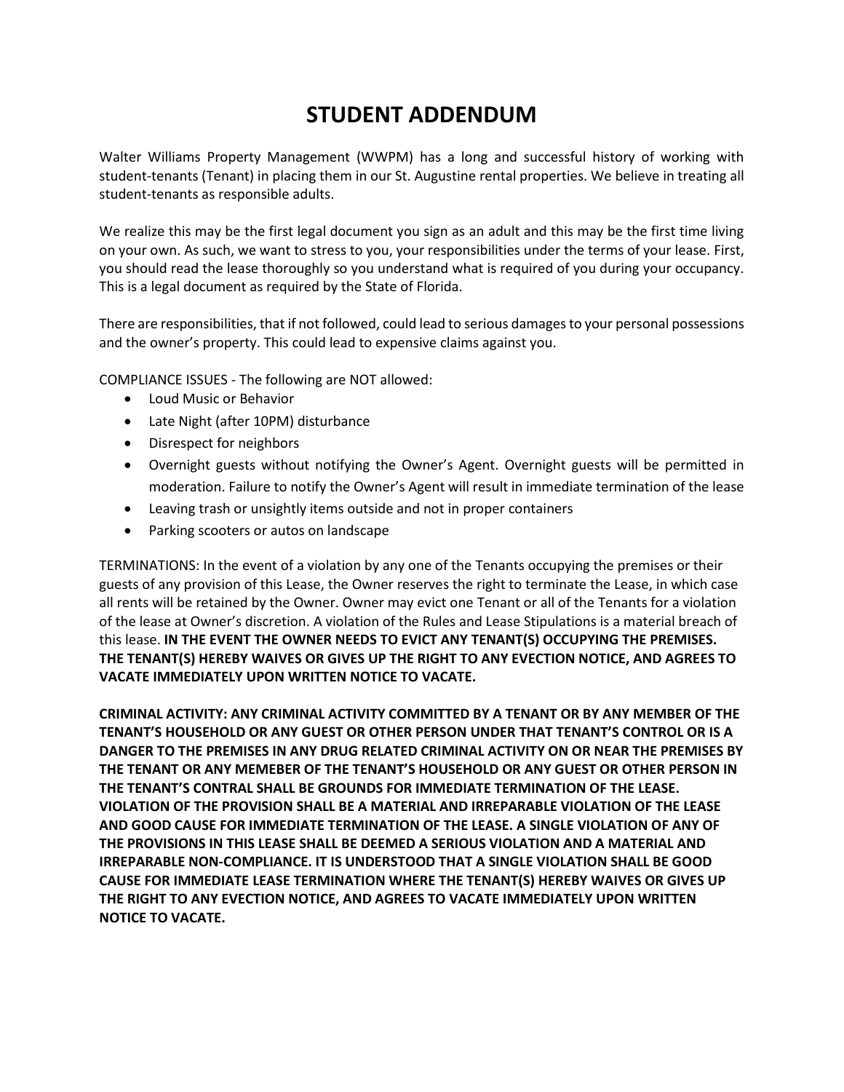## **STUDENT ADDENDUM**

Walter Williams Property Management (WWPM) has a long and successful history of working with student-tenants (Tenant) in placing them in our St. Augustine rental properties. We believe in treating all student-tenants as responsible adults.

We realize this may be the first legal document you sign as an adult and this may be the first time living on your own. As such, we want to stress to you, your responsibilities under the terms of your lease. First, you should read the lease thoroughly so you understand what is required of you during your occupancy. This is a legal document as required by the State of Florida.

There are responsibilities, that if not followed, could lead to serious damages to your personal possessions and the owner's property. This could lead to expensive claims against you.

COMPLIANCE ISSUES - The following are NOT allowed:

- Loud Music or Behavior
- Late Night (after 10PM) disturbance
- Disrespect for neighbors
- Overnight guests without notifying the Owner's Agent. Overnight guests will be permitted in moderation. Failure to notify the Owner's Agent will result in immediate termination of the lease
- Leaving trash or unsightly items outside and not in proper containers
- Parking scooters or autos on landscape

TERMINATIONS: In the event of a violation by any one of the Tenants occupying the premises or their guests of any provision of this Lease, the Owner reserves the right to terminate the Lease, in which case all rents will be retained by the Owner. Owner may evict one Tenant or all of the Tenants for a violation of the lease at Owner's discretion. A violation of the Rules and Lease Stipulations is a material breach of this lease. **IN THE EVENT THE OWNER NEEDS TO EVICT ANY TENANT(S) OCCUPYING THE PREMISES. THE TENANT(S) HEREBY WAIVES OR GIVES UP THE RIGHT TO ANY EVECTION NOTICE, AND AGREES TO VACATE IMMEDIATELY UPON WRITTEN NOTICE TO VACATE.**

**CRIMINAL ACTIVITY: ANY CRIMINAL ACTIVITY COMMITTED BY A TENANT OR BY ANY MEMBER OF THE TENANT'S HOUSEHOLD OR ANY GUEST OR OTHER PERSON UNDER THAT TENANT'S CONTROL OR IS A DANGER TO THE PREMISES IN ANY DRUG RELATED CRIMINAL ACTIVITY ON OR NEAR THE PREMISES BY THE TENANT OR ANY MEMEBER OF THE TENANT'S HOUSEHOLD OR ANY GUEST OR OTHER PERSON IN THE TENANT'S CONTRAL SHALL BE GROUNDS FOR IMMEDIATE TERMINATION OF THE LEASE. VIOLATION OF THE PROVISION SHALL BE A MATERIAL AND IRREPARABLE VIOLATION OF THE LEASE AND GOOD CAUSE FOR IMMEDIATE TERMINATION OF THE LEASE. A SINGLE VIOLATION OF ANY OF THE PROVISIONS IN THIS LEASE SHALL BE DEEMED A SERIOUS VIOLATION AND A MATERIAL AND IRREPARABLE NON-COMPLIANCE. IT IS UNDERSTOOD THAT A SINGLE VIOLATION SHALL BE GOOD CAUSE FOR IMMEDIATE LEASE TERMINATION WHERE THE TENANT(S) HEREBY WAIVES OR GIVES UP THE RIGHT TO ANY EVECTION NOTICE, AND AGREES TO VACATE IMMEDIATELY UPON WRITTEN NOTICE TO VACATE.**